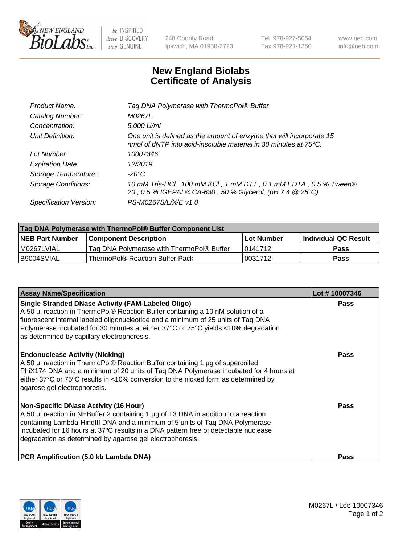

 $be$  INSPIRED drive DISCOVERY stay GENUINE

240 County Road Ipswich, MA 01938-2723 Tel 978-927-5054 Fax 978-921-1350 www.neb.com info@neb.com

## **New England Biolabs Certificate of Analysis**

| Product Name:              | Tag DNA Polymerase with ThermoPol® Buffer                                                                                                |
|----------------------------|------------------------------------------------------------------------------------------------------------------------------------------|
| Catalog Number:            | M0267L                                                                                                                                   |
| Concentration:             | 5,000 U/ml                                                                                                                               |
| Unit Definition:           | One unit is defined as the amount of enzyme that will incorporate 15<br>nmol of dNTP into acid-insoluble material in 30 minutes at 75°C. |
| Lot Number:                | 10007346                                                                                                                                 |
| <b>Expiration Date:</b>    | 12/2019                                                                                                                                  |
| Storage Temperature:       | $-20^{\circ}$ C                                                                                                                          |
| <b>Storage Conditions:</b> | 10 mM Tris-HCl, 100 mM KCl, 1 mM DTT, 0.1 mM EDTA, 0.5 % Tween®<br>20, 0.5 % IGEPAL® CA-630, 50 % Glycerol, (pH 7.4 @ 25°C)              |
| Specification Version:     | PS-M0267S/L/X/E v1.0                                                                                                                     |
|                            |                                                                                                                                          |

| Tag DNA Polymerase with ThermoPol® Buffer Component List |                                           |            |                      |  |
|----------------------------------------------------------|-------------------------------------------|------------|----------------------|--|
| <b>NEB Part Number</b>                                   | <b>Component Description</b>              | Lot Number | Individual QC Result |  |
| M0267LVIAL                                               | Tag DNA Polymerase with ThermoPol® Buffer | 10141712   | Pass                 |  |
| I B9004SVIAL                                             | ThermoPol® Reaction Buffer Pack           | '0031712   | <b>Pass</b>          |  |

| <b>Assay Name/Specification</b>                                                                                                                                                                                                                                                                                                                                        | Lot #10007346 |
|------------------------------------------------------------------------------------------------------------------------------------------------------------------------------------------------------------------------------------------------------------------------------------------------------------------------------------------------------------------------|---------------|
| <b>Single Stranded DNase Activity (FAM-Labeled Oligo)</b><br>A 50 µl reaction in ThermoPol® Reaction Buffer containing a 10 nM solution of a<br>fluorescent internal labeled oligonucleotide and a minimum of 25 units of Taq DNA<br>Polymerase incubated for 30 minutes at either 37°C or 75°C yields <10% degradation<br>as determined by capillary electrophoresis. | Pass          |
| <b>Endonuclease Activity (Nicking)</b><br>A 50 µl reaction in ThermoPol® Reaction Buffer containing 1 µg of supercoiled<br>PhiX174 DNA and a minimum of 20 units of Tag DNA Polymerase incubated for 4 hours at<br>either 37°C or 75°C results in <10% conversion to the nicked form as determined by<br>agarose gel electrophoresis.                                  | Pass          |
| <b>Non-Specific DNase Activity (16 Hour)</b><br>A 50 µl reaction in NEBuffer 2 containing 1 µg of T3 DNA in addition to a reaction<br>containing Lambda-HindIII DNA and a minimum of 5 units of Taq DNA Polymerase<br>incubated for 16 hours at 37°C results in a DNA pattern free of detectable nuclease<br>degradation as determined by agarose gel electrophoresis. | <b>Pass</b>   |
| PCR Amplification (5.0 kb Lambda DNA)                                                                                                                                                                                                                                                                                                                                  | Pass          |